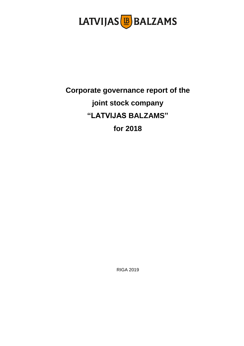

# **Corporate governance report of the joint stock company "LATVIJAS BALZAMS" for 2018**

RIGA 2019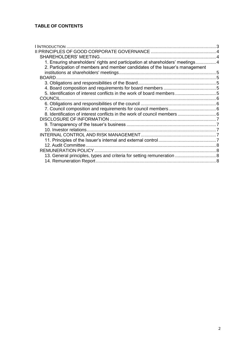| I INTRODUCTION                                                                 |  |
|--------------------------------------------------------------------------------|--|
|                                                                                |  |
| <b>SHAREHOLDERS' MEETING.</b>                                                  |  |
| 1. Ensuring shareholders' rights and participation at shareholders' meetings 4 |  |
| 2. Participation of members and member candidates of the Issuer's management   |  |
|                                                                                |  |
| <b>BOARD</b>                                                                   |  |
|                                                                                |  |
|                                                                                |  |
|                                                                                |  |
|                                                                                |  |
|                                                                                |  |
|                                                                                |  |
|                                                                                |  |
|                                                                                |  |
|                                                                                |  |
|                                                                                |  |
|                                                                                |  |
|                                                                                |  |
|                                                                                |  |
|                                                                                |  |
| 13. General principles, types and criteria for setting remuneration  8         |  |
|                                                                                |  |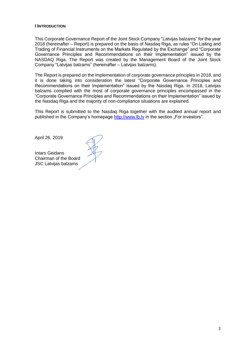#### <span id="page-2-0"></span>**I INTRODUCTION**

This Corporate Governance Report of the Joint Stock Company "Latvijas balzams" for the year 2018 (hereinafter – Report) is prepared on the basis of Nasdaq Riga, as rules "On Listing and Trading of Financial Instruments on the Markets Regulated by the Exchange" and "Corporate Governance Principles and Recommendations on their Implementation" issued by the NASDAQ Riga. The Report was created by the Management Board of the Joint Stock Company "Latvijas balzams" (hereinafter – Latvijas balzams).

The Report is prepared on the implementation of corporate governance principles in 2018, and it is done taking into consideration the latest "Corporate Governance Principles and Recommendations on their Implementation" issued by the Nasdaq Riga. In 2018, Latvijas balzams complied with the most of corporate governance principles encompassed in the "Corporate Governance Principles and Recommendations on their Implementation" issued by the Nasdaq Riga and the majority of non-compliance situations are explained.

This Report is submitted to the Nasdaq Riga together with the audited annual report and published in the Company's homepage http://www.lb.ly in the section "For investors".

April 26, 2019

Intars Geidans Chairman of the Board JSC Latvijas balzams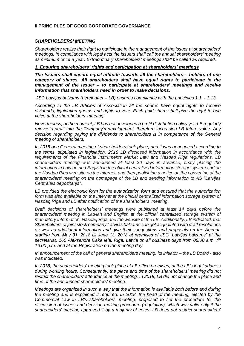# <span id="page-3-0"></span>**II PRINCIPLES OF GOOD CORPORATE GOVERNANCE**

#### <span id="page-3-1"></span>*SHAREHOLDERS' MEETING*

*Shareholders realize their right to participate in the management of the Issuer at shareholders' meetings. In compliance with legal acts the Issuers shall call the annual shareholders' meeting as minimum once a year. Extraordinary shareholders' meetings shall be called as required.*

#### <span id="page-3-2"></span>*1. Ensuring shareholders' rights and participation at shareholders' meetings*

*The Issuers shall ensure equal attitude towards all the shareholders – holders of one category of shares. All shareholders shall have equal rights to participate in the management of the Issuer – to participate at shareholders' meetings and receive information that shareholders need in order to make decisions.*

*JSC Latvijas balzams (hereinafter – LB) ensures compliance with the principles 1.1. - 1.13.*

*According to the LB Articles of Association all the shares have equal rights to receive dividends, liquidation quotas and rights to vote. Each paid share shall give the right to one voice at the shareholders' meeting.*

*Nevertheless, at the moment, LB has not developed a profit distribution policy yet; LB regularly reinvests profit into the Company's development, therefore increasing LB future value. Any decision regarding paying the dividends to shareholders is in competence of the General meeting of shareholders.*

*In 2018 one General meeting of shareholders took place, and it was announced according to the terms, stipulated in legislation. 2018 LB disclosed information in accordance with the requirements of the Financial Instruments Market Law and Nasdaq Riga regulations. LB shareholders meeting was announced at least 30 days in advance, firstly placing the information in Latvian and English in the official centralized information storage system and on the Nasdaq Riga web site on the Internet, and then publishing a notice on the convening of the shareholders' meeting on the homepage of the LB and sending information to AS "Latvijas Centrālais depozitārijs".*

*LB provided the electronic form for the authorization form and ensured that the authorization*  form was also available on the Internet at the official centralized information storage system of *Nasdaq Riga and LB after notification of the shareholders' meeting.*

*Draft decisions of shareholders' meetings were published at least 14 days before the shareholders' meeting in Latvian and English at the official centralized storage system of mandatory information, Nasdaq Riga and the website of the LB. Additionally, LB indicated, that Shareholders of joint stock company Latvijas balzams can get acquainted with draft resolutions as well as additional information and give their suggestions and proposals on the Agenda starting from May 31, 2018 till June 13, 2018 at premises of JSC "Latvijas balzams" at the secretariat, 160 Aleksandra Caka iela, Riga, Latvia on all business days from 08.00 a.m. till 16.00 p.m. and at the Registration on the meeting day.*

*In announcement of the call of general shareholders meeting, its initiator – the LB Board - also was indicated.*

*In 2018, the shareholders' meeting took place at LB office premises, at the LB's legal address during working hours. Consequently, the place and time of the shareholders' meeting did not restrict the shareholders' attendance at the meeting. In 2018, LB did not change the place and time of the announced shareholders' meeting.*

*Meetings are organized in such a way that the information is available both before and during the meeting and is explained if required. In 2018, the head of the meeting, elected by the Commercial Law in LB's shareholders' meeting, proposed to set the procedure for the discussion of issues and decision-making procedure (regulation), which was valid only if the shareholders' meeting approved it by a majority of votes. LB does not restrict shareholders'*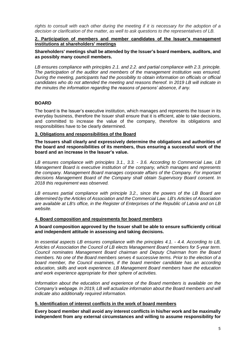*rights to consult with each other during the meeting if it is necessary for the adoption of a decision or clarification of the matter, as well to ask questions to the representatives of LB.*

<span id="page-4-0"></span>**2. Participation of members and member candidates of the Issuer's management institutions at shareholders' meetings**

**Shareholders' meetings shall be attended by the Issuer's board members, auditors, and as possibly many council members.** 

*LB ensures compliance with principles 2.1. and 2.2. and partial compliance with 2.3. principle. The participation of the auditor and members of the management institution was ensured. During the meeting, participants had the possibility to obtain information on officials or official candidates who do not attended the meeting and reasons thereof. In 2019 LB will indicate in the minutes the information regarding the reasons of persons' absence, if any.* 

# <span id="page-4-1"></span>**BOARD**

The board is the Issuer's executive institution, which manages and represents the Issuer in its everyday business, therefore the Issuer shall ensure that it is efficient, able to take decisions, and committed to increase the value of the company, therefore its obligations and responsibilities have to be clearly determined.

#### <span id="page-4-2"></span>**3. Obligations and responsibilities of the Board**

**The Issuers shall clearly and expressively determine the obligations and authorities of the board and responsibilities of its members, thus ensuring a successful work of the board and an increase in the Issuer's value.**

*LB ensures compliance with principles 3.1., 3.3. - 3.6. According to Commercial Law, LB Management Board is executive institution of the company, which manages and represents the company. Management Board manages corporate affairs of the Company. For important decisions Management Board of the Company shall obtain Supervisory Board consent. In 2018 this requirement was observed.*

*LB ensures partial compliance with principle 3.2., since the powers of the LB Board are determined by the Articles of Association and the Commercial Law. LB's Articles of Association are available at LB's office, in the Register of Enterprises of the Republic of Latvia and on LB website.*

#### <span id="page-4-3"></span>**4. Board composition and requirements for board members**

#### **A board composition approved by the Issuer shall be able to ensure sufficiently critical and independent attitude in assessing and taking decisions.**

*In essential aspects LB ensures compliance with the principles 4.1. - 4.4. According to LB, Articles of Association the Council of LB elects Management Board members for 5-year term. Council nominates Management Board chairman and Deputy Chairman from the Board members. No one of the Board members serves 4 successive terms. Prior to the election of a board member, the Council examines, if the board member candidate has an according education, skills and work experience. LB Management Board members have the education and work experience appropriate for their sphere of activities.*

*Information about the education and experience of the Board members is available on the Company's webpage. In 2019, LB will actualize information about the Board members and will indicate also additionally required information.* 

#### <span id="page-4-4"></span>**5. Identification of interest conflicts in the work of board members**

**Every board member shall avoid any interest conflicts in his/her work and be maximally independent from any external circumstances and willing to assume responsibility for**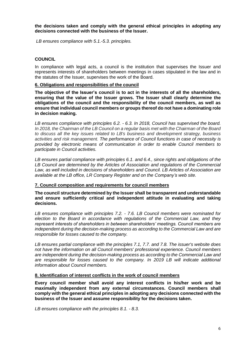**the decisions taken and comply with the general ethical principles in adopting any decisions connected with the business of the Issuer.** 

*LB ensures compliance with 5.1.-5.3. principles.*

# <span id="page-5-0"></span>**COUNCIL**

In compliance with legal acts, a council is the institution that supervises the Issuer and represents interests of shareholders between meetings in cases stipulated in the law and in the statutes of the Issuer, supervises the work of the Board.

#### <span id="page-5-1"></span>**6. Obligations and responsibilities of the council**

**The objective of the Issuer's council is to act in the interests of all the shareholders, ensuring that the value of the Issuer grows. The Issuer shall clearly determine the obligations of the council and the responsibility of the council members, as well as ensure that individual council members or groups thereof do not have a dominating role in decision making.**

*LB ensures compliance with principles 6.2. - 6.3. In 2018, Council has supervised the board. In 2018, the Chairman of the LB Council on a regular basis met with the Chairman of the Board to discuss all the key issues related to LB's business and development strategy, business activities and risk management. The performance of Council functions in case of necessity is provided by electronic means of communication in order to enable Council members to participate in Council activities.*

*LB ensures partial compliance with principles 6.1. and 6.4., since rights and obligations of the LB Council are determined by the Articles of Association and regulations of the Commercial Law, as well included in decisions of shareholders and Council. LB Articles of Association are available at the LB office, LR Company Register and on the Company's web site.*

#### <span id="page-5-2"></span>**7. Council composition and requirements for council members**

**The council structure determined by the Issuer shall be transparent and understandable and ensure sufficiently critical and independent attitude in evaluating and taking decisions.**

*LB ensures compliance with principles 7.2. - 7.6. LB Council members were nominated for election to the Board in accordance with regulations of the Commercial Law, and they represent interests of shareholders in between shareholders' meetings. Council members are independent during the decision-making process as according to the Commercial Law and are responsible for losses caused to the company.*

*LB ensures partial compliance with the principles 7.1, 7.7. and 7.8. The issuer's website does not have the information on all Council members' professional experience. Council members are independent during the decision-making process as according to the Commercial Law and are responsible for losses caused to the company. In 2019 LB will indicate additional information about Council members.* 

#### <span id="page-5-3"></span>**8. Identification of interest conflicts in the work of council members**

**Every council member shall avoid any interest conflicts in his/her work and be maximally independent from any external circumstances. Council members shall comply with the general ethical principles in adopting any decisions connected with the business of the Issuer and assume responsibility for the decisions taken.** 

*LB ensures compliance with the principles 8.1. - 8.3.*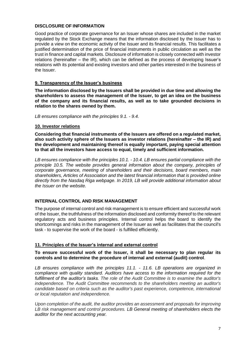# <span id="page-6-0"></span>**DISCLOSURE OF INFORMATION**

Good practice of corporate governance for an Issuer whose shares are included in the market regulated by the Stock Exchange means that the information disclosed by the Issuer has to provide a view on the economic activity of the Issuer and its financial results. This facilitates a justified determination of the price of financial instruments in public circulation as well as the trust in finance and capital markets. Disclosure of information is closely connected with investor relations (hereinafter – the IR), which can be defined as the process of developing Issuer's relations with its potential and existing investors and other parties interested in the business of the Issuer.

# <span id="page-6-1"></span>**9. Transparency of the Issuer's business**

**The information disclosed by the Issuers shall be provided in due time and allowing the shareholders to assess the management of the Issuer, to get an idea on the business of the company and its financial results, as well as to take grounded decisions in relation to the shares owned by them.** 

*LB ensures compliance with the principles 9.1. - 9.4.*

#### <span id="page-6-2"></span>**10. Investor relations**

**Considering that financial instruments of the Issuers are offered on a regulated market, also such activity sphere of the Issuers as investor relations (hereinafter – the IR) and the development and maintaining thereof is equally important, paying special attention to that all the investors have access to equal, timely and sufficient information.**

*LB ensures compliance with the principles 10.1. - 10.4. LB ensures partial compliance with the principle 10.5. The website provides general information about the company, principles of corporate governance, meeting of shareholders and their decisions, board members, main shareholders, Articles of Association and the latest financial information that is provided online directly from the Nasdaq Riga webpage. In 2019, LB will provide additional information about the Issuer on the website.*

# <span id="page-6-3"></span>**INTERNAL CONTROL AND RISK MANAGEMENT**

The purpose of internal control and risk management is to ensure efficient and successful work of the Issuer, the truthfulness of the information disclosed and conformity thereof to the relevant regulatory acts and business principles. Internal control helps the board to identify the shortcomings and risks in the management of the Issuer as well as facilitates that the council's task - to supervise the work of the board - is fulfilled efficiently.

#### <span id="page-6-4"></span>**11. Principles of the Issuer's internal and external control**

#### **To ensure successful work of the Issuer, it shall be necessary to plan regular its controls and to determine the procedure of internal and external (audit) control**.

*LB ensures compliance with the principles 11.1. - 11.6. LB operations are organized in compliance with quality standard. Auditors have access to the information required for the fulfillment of the auditor's tasks. The role of the Audit Committee is to examine the auditor's independence. The Audit Committee recommends to the shareholders meeting an auditor's candidate based on criteria such as the auditor's past experience, competence, international or local reputation and independence.*

*Upon completion of the audit, the auditor provides an assessment and proposals for improving LB risk management and control procedures. LB General meeting of shareholders elects the auditor for the next accounting year.*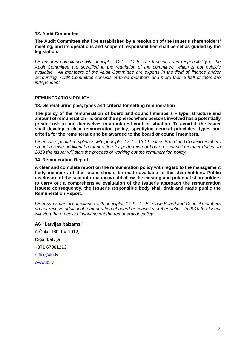# <span id="page-7-0"></span>**12. Audit Committee**

#### **The Audit Committee shall be established by a resolution of the Issuer's shareholders' meeting, and its operations and scope of responsibilities shall be set as guided by the legislation.**

*LB ensures compliance with principles 12.1. - 12.5. The functions and responsibility of the Audit Committee are specified in the regulation of the committee, which is not publicly available. All members of the Audit Committee are experts in the field of finance and/or accounting. Audit Committee consists of three members and more then a half of them are independent.*

#### <span id="page-7-1"></span>**REMUNERATION POLICY**

#### <span id="page-7-2"></span>**13. General principles, types and criteria for setting remuneration**

**The policy of the remuneration of board and council members – type, structure and amount of remuneration - is one of the spheres where persons involved has a potentially greater risk to find themselves in an interest conflict situation. To avoid it, the Issuer shall develop a clear remuneration policy, specifying general principles, types and criteria for the remuneration to be awarded to the board or council members.**

*LB ensures partial compliance with principles 13.1. - 13.11., since Board and Council members do not receive additional remuneration for performing of board or council member duties. In 2019 the Issuer will start the process of working out the remuneration policy.*

#### <span id="page-7-3"></span>**14. Remuneration Report**

**A clear and complete report on the remuneration policy with regard to the management body members of the Issuer should be made available to the shareholders. Public disclosure of the said information would allow the existing and potential shareholders to carry out a comprehensive evaluation of the Issuer's approach the remuneration issues; consequently, the Issuer's responsible body shall draft and made public the Remuneration Report.**

*LB ensures partial compliance with principles 14.1. - 14.8., since Board and Council members do not receive additional remuneration of board or council member duties. In 2019 the Issuer will start the process of working out the remuneration policy.*

#### **AS "Latvijas balzams"**

A.Čaka 160, LV-1012, Rīga, Latvija +371 67081213 [office@lb.lv](mailto:office@lb.lv) [www.lb.lv](http://www.lb.lv/)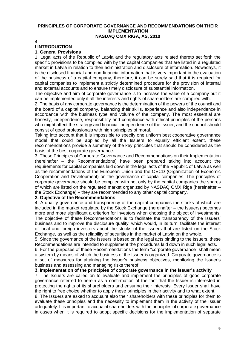#### **PRINCIPLES OF CORPORATE GOVERNANCE AND RECOMMENDATIONS ON THEIR IMPLEMENTATION NASDAQ OMX RIGA, AS, 2010**

4

# **I INTRODUCTION**

# **1. General Provisions**

1. Legal acts of the Republic of Latvia and the regulatory acts related thereto set forth the specific provisions to be complied with by the capital companies that are listed in a regulated market in Latvia in relation to their administration and disclosure of information. Nowadays, it is the disclosed financial and non-financial information that is very important in the evaluation of the business of a capital company, therefore, it can be surely said that it is required for capital companies to implement a strictly determined procedure for the provision of internal and external accounts and to ensure timely disclosure of substantial information.

The objective and aim of corporate governance is to increase the value of a company but it can be implemented only if all the interests and rights of shareholders are complied with.

2. The basis of any corporate governance is the determination of the powers of the council and the board of a capital company, balancing their skills, experience and also independence in accordance with the business type and volume of the company. The most essential are honesty, independence, responsibility and compliance with ethical principles of the persons who might affect the strategy and financial independence of the Issuer, and the council should consist of good professionals with high principles of moral.

Taking into account that it is impossible to specify one uniform best cooperative governance model that could be applied by all the Issuers to equally efficient extent, these recommendations provide a summary of the key principles that should be considered as the basis of the best corporate governance.

3. These Principles of Corporate Governance and Recommendations on their Implementation (hereinafter – the Recommendations) have been prepared taking into account the requirements for capital companies laid down in the legal acts of the Republic of Latvia as well as the recommendations of the European Union and the OECD (Organization of Economic Cooperation and Development) on the governance of capital companies. The principles of corporate governance should be complied with not only by the capital companies the shares of which are listed on the regulated market organized by NASDAQ OMX Riga (hereinafter – the Stock Exchange) – they are recommended to any other capital company.

#### **2. Objective of the Recommendations**

4. A quality governance and transparency of the capital companies the stocks of which are included in the market regulated by the Stock Exchange (hereinafter – the Issuers) becomes more and more significant a criterion for investors when choosing the object of investments. The objective of these Recommendations is to facilitate the transparency of the Issuers' business and to improve the disclosure quality, which would, in its turn, facilitate the interest of local and foreign investors about the stocks of the Issuers that are listed on the Stock Exchange, as well as the reliability of securities in the market of Latvia on the whole.

5. Since the governance of the Issuers is based on the legal acts binding to the Issuers, these Recommendations are intended to supplement the procedures laid down in such legal acts.

6. For the purposes of these Recommendations the term "corporate governance" shall mean a system by means of which the business of the Issuer is organized. Corporate governance is a set of measures for attaining the Issuer's business objectives, monitoring the Issuer's business and assessing and managing risks thereof.

**3. Implementation of the principles of corporate governance in the Issuer's activity**

7. The Issuers are called on to evaluate and implement the principles of good corporate governance referred to herein as a confirmation of the fact that the Issuer is interested in protecting the rights of its shareholders and ensuring their interests. Every Issuer shall have the right to free choice whether to apply these principles in their activity and to what extent.

8. The Issuers are asked to acquaint also their shareholders with these principles for them to evaluate these principles and the necessity to implement them in the activity of the Issuer adequately. It is important to acquaint shareholders with the principles of corporate governance in cases when it is required to adopt specific decisions for the implementation of separate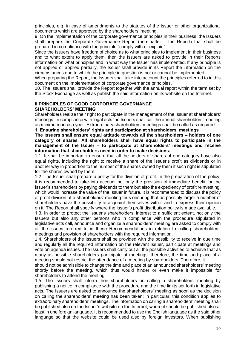principles, e.g. in case of amendments to the statutes of the Issuer or other organizational documents which are approved by the shareholders' meeting.

9. On the implementation of the corporate governance principles in their business, the Issuers shall prepare the Corporate Governance Report (hereinafter – the Report) that shall be prepared in compliance with the principle "comply with or explain".

Since the Issuers have freedom of choice as to what principles to implement in their business and to what extent to apply them, then the Issuers are asked to provide in their Reports information on what principles and in what way the Issuer has implemented. If any principle is not applied or applied partially, the Issuer shall provide in its Report the information on the circumstances due to which the principle in question is not or cannot be implemented.

When preparing the Report, the Issuers shall take into account the principles referred to in this document on the implementation of corporate governance principles.

10. The Issuers shall provide the Report together with the annual report within the term set by the Stock Exchange as well as publish the said information on its website on the Internet.

#### **II PRINCIPLES OF GOOD CORPORATE GOVERNANCE SHAREHOLDERS' MEETING**

Shareholders realize their right to participate in the management of the Issuer at shareholders' meetings. In compliance with legal acts the Issuers shall call the annual shareholders' meeting as minimum once a year. Extraordinary shareholders' meetings shall be called as required.

**1. Ensuring shareholders' rights and participation at shareholders' meetings**

#### **The Issuers shall ensure equal attitude towards all the shareholders – holders of one category of shares. All shareholders shall have equal rights to participate in the management of the Issuer – to participate at shareholders' meetings and receive information that shareholders need in order to make decisions.**

1.1. It shall be important to ensure that all the holders of shares of one category have also equal rights, including the right to receive a share of the Issuer's profit as dividends or in another way in proportion to the number of the shares owned by them if such right is stipulated for the shares owned by them.

1.2. The Issuer shall prepare a policy for the division of profit. In the preparation of the policy, it is recommended to take into account not only the provision of immediate benefit for the Issuer's shareholders by paying dividends to them but also the expediency of profit reinvesting, which would increase the value of the Issuer in future. It is recommended to discuss the policy of profit division at a shareholders' meeting thus ensuring that as possibly larger a number of shareholders have the possibility to acquaint themselves with it and to express their opinion on it. The Report shall specify where the Issuer's profit distribution policy is made available.

1.3. In order to protect the Issuer's shareholders' interest to a sufficient extent, not only the Issuers but also any other persons who in compliance with the procedure stipulated in legislative acts call, announce and organize a shareholders' meeting are asked to comply with all the issues referred to in these Recommendations in relation to calling shareholders' meetings and provision of shareholders with the required information.

1.4. Shareholders of the Issuers shall be provided with the possibility to receive in due time and regularly all the required information on the relevant Issuer, participate at meetings and vote on agenda issues. The Issuers shall carry out all the possible activities to achieve that as many as possible shareholders participate at meetings; therefore, the time and place of a meeting should not restrict the attendance of a meeting by shareholders. Therefore, it

should not be admissible to change the time and place of an announced shareholders' meeting shortly before the meeting, which thus would hinder or even make it impossible for shareholders to attend the meeting.

1.5. The Issuers shall inform their shareholders on calling a shareholders' meeting by publishing a notice in compliance with the procedure and the time limits set forth in legislative acts. The Issuers are asked to announce the shareholders' meeting as soon as the decision on calling the shareholders' meeting has been taken; in particular, this condition applies to extraordinary shareholders' meetings. The information on calling a shareholders' meeting shall be published also on the Issuer's website on the Internet, where it should be published also at least in one foreign language. It is recommended to use the English language as the said other language so that the website could be used also by foreign investors. When publishing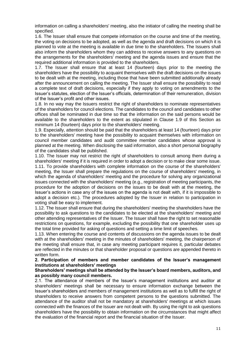information on calling a shareholders' meeting, also the initiator of calling the meeting shall be specified.

1.6. The Issuer shall ensure that compete information on the course and time of the meeting, the voting on decisions to be adopted, as well as the agenda and draft decisions on which it is planned to vote at the meeting is available in due time to the shareholders. The Issuers shall also inform the shareholders whom they can address to receive answers to any questions on the arrangements for the shareholders' meeting and the agenda issues and ensure that the required additional information is provided to the shareholders.

1.7. The Issuer shall ensure that at least 14 (fourteen) days prior to the meeting the shareholders have the possibility to acquaint themselves with the draft decisions on the issues to be dealt with at the meeting, including those that have been submitted additionally already after the announcement on calling the meeting. The Issuer shall ensure the possibility to read a complete text of draft decisions, especially if they apply to voting on amendments to the Issuer's statutes, election of the Issuer's officials, determination of their remuneration, division of the Issuer's profit and other issues.

1.8. In no way may the Issuers restrict the right of shareholders to nominate representatives of the shareholders for council elections. The candidates to the council and candidates to other offices shall be nominated in due time so that the information on the said persons would be available to the shareholders to the extent as stipulated in Clause 1.9 of this Section as minimum 14 (fourteen) days prior to the shareholders' meeting.

1.9. Especially, attention should be paid that the shareholders at least 14 (fourteen) days prior to the shareholders' meeting have the possibility to acquaint themselves with information on council member candidates and audit committee member candidates whose approval is planned at the meeting. When disclosing the said information, also a short personal biography of the candidates shall be published.

1.10. The Issuer may not restrict the right of shareholders to consult among them during a shareholders' meeting if it is required in order to adopt a decision or to make clear some issue. 1.11. To provide shareholders with complete information on the course of the shareholders' meeting, the Issuer shall prepare the regulations on the course of shareholders' meeting, in which the agenda of shareholders' meeting and the procedure for solving any organizational issues connected with the shareholders' meeting (e.g., registration of meeting participants, the procedure for the adoption of decisions on the issues to be dealt with at the meeting, the

Issuer's actions in case any of the issues on the agenda is not dealt with, if it is impossible to adopt a decision etc.). The procedures adopted by the Issuer in relation to participation in voting shall be easy to implement.

1.12. The Issuer shall ensure that during the shareholders' meeting the shareholders have the possibility to ask questions to the candidates to be elected at the shareholders' meeting and other attending representatives of the Issuer. The Issuer shall have the right to set reasonable restrictions on questions, for example, excluding the possibility that one shareholder uses up the total time provided for asking of questions and setting a time limit of speeches.

1.13. When entering the course and contents of discussions on the agenda issues to be dealt with at the shareholders' meeting in the minutes of shareholders' meeting, the chairperson of the meeting shall ensure that, in case any meeting participant requires it, particular debates are reflected in the minutes or that shareholder proposal or questions are appended thereto in written form.

## **2. Participation of members and member candidates of the Issuer's management institutions at shareholders' meetings**

#### **Shareholders' meetings shall be attended by the Issuer's board members, auditors, and as possibly many council members.**

2.1. The attendance of members of the Issuer's management institutions and auditor at shareholders' meetings shall be necessary to ensure information exchange between the Issuer's shareholders and members of management institutions as well as to fulfill the right of shareholders to receive answers from competent persons to the questions submitted. The attendance of the auditor shall not be mandatory at shareholders' meetings at which issues connected with the finances of the Issuer are not dealt with. By using the right to ask questions shareholders have the possibility to obtain information on the circumstances that might affect the evaluation of the financial report and the financial situation of the Issuer.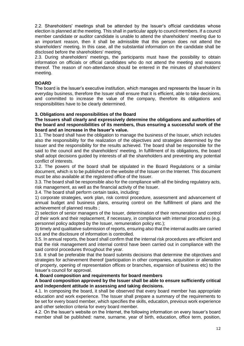2.2. Shareholders' meetings shall be attended by the Issuer's official candidates whose election is planned at the meeting. This shall in particular apply to council members. If a council member candidate or auditor candidate is unable to attend the shareholders' meeting due to an important reason, then it shall be admissible that this person does not attend the shareholders' meeting. In this case, all the substantial information on the candidate shall be disclosed before the shareholders' meeting.

2.3. During shareholders' meetings, the participants must have the possibility to obtain information on officials or official candidates who do not attend the meeting and reasons thereof. The reason of non-attendance should be entered in the minutes of shareholders' meeting.

# **BOARD**

The board is the Issuer's executive institution, which manages and represents the Issuer in its everyday business, therefore the Issuer shall ensure that it is efficient, able to take decisions, and committed to increase the value of the company, therefore its obligations and responsibilities have to be clearly determined.

#### **3. Obligations and responsibilities of the Board**

**The Issuers shall clearly and expressively determine the obligations and authorities of the board and responsibilities of its members, thus ensuring a successful work of the board and an increase in the Issuer's value.**

3.1. The board shall have the obligation to manage the business of the Issuer, which includes also the responsibility for the realization of the objectives and strategies determined by the Issuer and the responsibility for the results achieved. The board shall be responsible for the said to the council and the shareholders' meeting. In fulfillment of its obligations, the board shall adopt decisions guided by interests of all the shareholders and preventing any potential conflict of interests.

3.2. The powers of the board shall be stipulated in the Board Regulations or a similar document, which is to be published on the website of the Issuer on the Internet. This document must be also available at the registered office of the Issuer.

3.3. The board shall be responsible also for the compliance with all the binding regulatory acts, risk management, as well as the financial activity of the Issuer.

3.4. The board shall perform certain tasks, including:

1) corporate strategies, work plan, risk control procedure, assessment and advancement of annual budget and business plans, ensuring control on the fulfillment of plans and the achievement of planned results ;

2) selection of senior managers of the Issuer, determination of their remuneration and control of their work and their replacement, if necessary, in compliance with internal procedures (e.g. personnel policy adopted by the Issuer, remuneration policy etc.);

3) timely and qualitative submission of reports, ensuring also that the internal audits are carried out and the disclosure of information is controlled.

3.5. In annual reports, the board shall confirm that the internal risk procedures are efficient and that the risk management and internal control have been carried out in compliance with the said control procedures throughout the year.

3.6. It shall be preferable that the board submits decisions that determine the objectives and strategies for achievement thereof (participation in other companies, acquisition or alienation of property, opening of representation offices or branches, expansion of business etc) to the Issuer's council for approval.

#### **4. Board composition and requirements for board members**

#### **A board composition approved by the Issuer shall be able to ensure sufficiently critical and independent attitude in assessing and taking decisions.**

4.1. In composing the board, it shall be observed that every board member has appropriate education and work experience. The Issuer shall prepare a summary of the requirements to be set for every board member, which specifies the skills, education, previous work experience and other selection criteria for every board member.

4.2. On the Issuer's website on the Internet, the following information on every Issuer's board member shall be published: name, surname, year of birth, education, office term, position,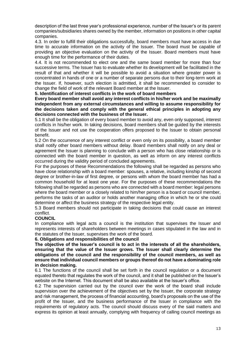description of the last three year's professional experience, number of the Issuer's or its parent companies/subsidiaries shares owned by the member, information on positions in other capital companies.

4.3. In order to fulfill their obligations successfully, board members must have access in due time to accurate information on the activity of the Issuer. The board must be capable of providing an objective evaluation on the activity of the Issuer. Board members must have enough time for the performance of their duties.

4.4. It is not recommended to elect one and the same board member for more than four successive terms. The Issuer has to evaluate whether its development will be facilitated in the result of that and whether it will be possible to avoid a situation where greater power is concentrated in hands of one or a number of separate persons due to their long-term work at the Issuer. If, however, such election is admitted, it shall be recommended to consider to change the field of work of the relevant Board member at the Issuer.

**5. Identification of interest conflicts in the work of board members**

**Every board member shall avoid any interest conflicts in his/her work and be maximally independent from any external circumstances and willing to assume responsibility for the decisions taken and comply with the general ethical principles in adopting any decisions connected with the business of the Issuer.**

5.1 It shall be the obligation of every board member to avoid any, even only supposed, interest conflicts in his/her work. In taking decisions, board members shall be guided by the interests of the Issuer and not use the cooperation offers proposed to the Issuer to obtain personal benefit.

5.2 On the occurrence of any interest conflict or even only on its possibility, a board member shall notify other board members without delay. Board members shall notify on any deal or agreement the Issuer is planning to conclude with a person who has close relationship or is connected with the board member in question, as well as inform on any interest conflicts occurred during the validity period of concluded agreements.

For the purposes of these Recommendations the following shall be regarded as persons who have close relationship with a board member: spouses, a relative, including kinship of second degree or brother-in-law of first degree, or persons with whom the board member has had a common household for at least one year. For the purposes of these recommendations the following shall be regarded as persons who are connected with a board member: legal persons where the board member or a closely related to him/her person is a board or council member, performs the tasks of an auditor or holds another managing office in which he or she could determine or affect the business strategy of the respective legal entity.

5.3 Board members should not participate in taking decisions that could cause an interest conflict.

## **COUNCIL**

In compliance with legal acts a council is the institution that supervises the Issuer and represents interests of shareholders between meetings in cases stipulated in the law and in the statutes of the Issuer, supervises the work of the board.

## **6. Obligations and responsibilities of the council**

**The objective of the Issuer's council is to act in the interests of all the shareholders, ensuring that the value of the Issuer grows. The Issuer shall clearly determine the obligations of the council and the responsibility of the council members, as well as ensure that individual council members or groups thereof do not have a dominating role in decision making.**

6.1 The functions of the council shall be set forth in the council regulation or a document equated thereto that regulates the work of the council, and it shall be published on the Issuer's website on the Internet. This document shall be also available at the Issuer's office.

6.2 The supervision carried out by the council over the work of the board shall include supervision over the achievement of the objectives set by the Issuer, the corporate strategy and risk management, the process of financial accounting, board's proposals on the use of the profit of the Issuer, and the business performance of the Issuer in compliance with the requirements of regulatory acts. The council should discuss every of the said matters and express its opinion at least annually, complying with frequency of calling council meetings as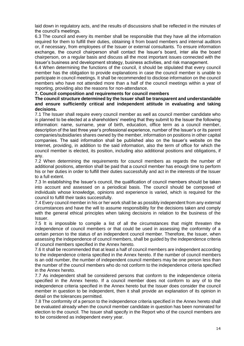laid down in regulatory acts, and the results of discussions shall be reflected in the minutes of the council's meetings.

6.3 The council and every its member shall be responsible that they have all the information required for them to fulfill their duties, obtaining it from board members and internal auditors or, if necessary, from employees of the Issuer or external consultants. To ensure information exchange, the council chairperson shall contact the Issuer's board, inter alia the board chairperson, on a regular basis and discuss all the most important issues connected with the Issuer's business and development strategy, business activities, and risk management.

6.4 When determining the functions of the council, it should be stipulated that every council member has the obligation to provide explanations in case the council member is unable to participate in council meetings. It shall be recommended to disclose information on the council members who have not attended more than a half of the council meetings within a year of reporting, providing also the reasons for non-attendance.

**7. Council composition and requirements for council members**

**The council structure determined by the Issuer shall be transparent and understandable and ensure sufficiently critical and independent attitude in evaluating and taking decisions.**

7.1 The Issuer shall require every council member as well as council member candidate who is planned to be elected at a shareholders' meeting that they submit to the Issuer the following information: name, surname, year of birth, education, office term as a council member, description of the last three year's professional experience, number of the Issuer's or its parent companies/subsidiaries shares owned by the member, information on positions in other capital companies. The said information shall be published also on the Issuer's website on the Internet, providing, in addition to the said information, also the term of office for which the council member is elected, its position, including also additional positions and obligations, if any.

7.2 When determining the requirements for council members as regards the number of additional positions, attention shall be paid that a council member has enough time to perform his or her duties in order to fulfill their duties successfully and act in the interests of the Issuer to a full extent.

7.3 In establishing the Issuer's council, the qualification of council members should be taken into account and assessed on a periodical basis. The council should be composed of individuals whose knowledge, opinions and experience is varied, which is required for the council to fulfill their tasks successfully.

7.4 Every council member in his or her work shall be as possibly independent from any external circumstances and have the will to assume responsibility for the decisions taken and comply with the general ethical principles when taking decisions in relation to the business of the Issuer.

7.5 It is impossible to compile a list of all the circumstances that might threaten the independence of council members or that could be used in assessing the conformity of a certain person to the status of an independent council member. Therefore, the Issuer, when assessing the independence of council members, shall be guided by the independence criteria of council members specified in the Annex hereto.

7.6 It shall be recommended that at least a half of council members are independent according to the independence criteria specified in the Annex hereto. If the number of council members is an odd number, the number of independent council members may be one person less than the number of the council members who do not conform to the independence criteria specified in the Annex hereto.

7.7 As independent shall be considered persons that conform to the independence criteria specified in the Annex hereto. If a council member does not conform to any of to the independence criteria specified in the Annex hereto but the Issuer does consider the council member in question to be independent, then it shall provide an explanation of its opinion in detail on the tolerances permitted.

7.8 The conformity of a person to the independence criteria specified in the Annex hereto shall be evaluated already when the council member candidate in question has been nominated for election to the council. The Issuer shall specify in the Report who of the council members are to be considered as independent every year.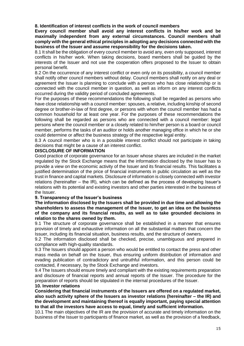# **8. Identification of interest conflicts in the work of council members**

**Every council member shall avoid any interest conflicts in his/her work and be maximally independent from any external circumstances. Council members shall comply with the general ethical principles in adopting any decisions connected with the business of the Issuer and assume responsibility for the decisions taken.**

8.1 It shall be the obligation of every council member to avoid any, even only supposed, interest conflicts in his/her work. When taking decisions, board members shall be guided by the interests of the Issuer and not use the cooperation offers proposed to the Issuer to obtain personal benefit.

8.2 On the occurrence of any interest conflict or even only on its possibility, a council member shall notify other council members without delay. Council members shall notify on any deal or agreement the Issuer is planning to conclude with a person who has close relationship or is connected with the council member in question, as well as inform on any interest conflicts occurred during the validity period of concluded agreements.

For the purposes of these recommendations the following shall be regarded as persons who have close relationship with a council member: spouses, a relative, including kinship of second degree or brother-in-law of first degree, or persons with whom the council member has had a common household for at least one year. For the purposes of these recommendations the following shall be regarded as persons who are connected with a council member: legal persons where the council member or a closely related to him/her person is a board or council member, performs the tasks of an auditor or holds another managing office in which he or she could determine or affect the business strategy of the respective legal entity.

8.3 A council member who is in a possible interest conflict should not participate in taking decisions that might be a cause of an interest conflict.

## **DISCLOSURE OF INFORMATION**

Good practice of corporate governance for an Issuer whose shares are included in the market regulated by the Stock Exchange means that the information disclosed by the Issuer has to provide a view on the economic activity of the Issuer and its financial results. This facilitates a justified determination of the price of financial instruments in public circulation as well as the trust in finance and capital markets. Disclosure of information is closely connected with investor relations (hereinafter – the IR), which can be defined as the process of developing Issuer's relations with its potential and existing investors and other parties interested in the business of the Issuer.

#### **9. Transparency of the Issuer's business**

**The information disclosed by the Issuers shall be provided in due time and allowing the shareholders to assess the management of the Issuer, to get an idea on the business of the company and its financial results, as well as to take grounded decisions in relation to the shares owned by them.**

9.1 The structure of corporate governance shall be established in a manner that ensures provision of timely and exhaustive information on all the substantial matters that concern the Issuer, including its financial situation, business results, and the structure of owners.

9.2 The information disclosed shall be checked, precise, unambiguous and prepared in compliance with high-quality standards.

9.3 The Issuers should appoint a person who would be entitled to contact the press and other mass media on behalf on the Issuer, thus ensuring uniform distribution of information and evading publication of contradictory and untruthful information, and this person could be contacted, if necessary, by the Stock Exchange and investors.

9.4 The Issuers should ensure timely and compliant with the existing requirements preparation and disclosure of financial reports and annual reports of the Issuer. The procedure for the preparation of reports should be stipulated in the internal procedures of the Issuer.

#### **10. Investor relations**

**Considering that financial instruments of the Issuers are offered on a regulated market, also such activity sphere of the Issuers as investor relations (hereinafter – the IR) and the development and maintaining thereof is equally important, paying special attention to that all the investors have access to equal, timely and sufficient information.**

10.1 The main objectives of the IR are the provision of accurate and timely information on the business of the Issuer to participants of finance market, as well as the provision of a feedback,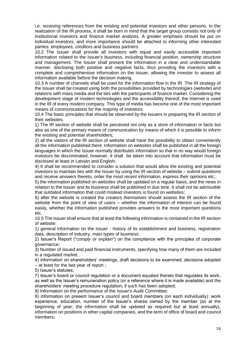i.e. receiving references from the existing and potential investors and other persons. In the realization of the IR process, it shall be born in mind that the target group consists not only of institutional investors and finance market analysts. A greater emphasis should be put on individual investors, and more importance should be attached to informing other interested parties: employees, creditors and business partners.

10.2 The Issuer shall provide all investors with equal and easily accessible important information related to the Issuer's business, including financial position, ownership structure and management. The Issuer shall present the information in a clear and understandable manner, disclosing both positive and negative facts, thus providing the investors with a complete and comprehensive information on the Issuer, allowing the investor to assess all information available before the decision making.

10.3 A number of channels shall be used for the information flow in the IR. The IR strategy of the Issuer shall be created using both the possibilities provided by technologies (website) and relations with mass media and the ties with the participants of finance market. Considering the development stage of modern technologies and the accessibility thereof, the Internet is used in the IR of every modern company. This type of media has become one of the most important means of communications for the majority of investors.

10.4 The basic principles that should be observed by the Issuers in preparing the IR section of their websites:

1) The IR section of website shall be perceived not only as a store of information or facts but also as one of the primary means of communication by means of which it is possible to inform the existing and potential shareholders;

2) all the visitors of the IR section of website shall have the possibility to obtain conveniently all the information published there. Information on websites shall be published in all the foreign languages in which the Issuer normally distributes information so that in no way would foreign investors be discriminated, however, it shall be taken into account that information must be disclosed at least in Latvian and English;

4) It shall be recommended to consider a solution that would allow the existing and potential investors to maintain ties with the Issuer by using the IR section of website – submit questions and receive answers thereto, order the most recent information, express their opinions etc.;

5) the information published on websites shall be updated on a regular basis, and the news in relation to the Issuer and its business shall be published in due time. It shall not be admissible that outdated information that could mislead investors is found on websites;

6) after the website is created the creators themselves should assess the IR section of the website from the point of view of users – whether the information of interest can be found easily, whether the information published provides answers to the most important questions etc.

10.5 The Issuer shall ensure that at least the following information is contained in the IR section of website:

1) general information on the Issuer - history of its establishment and business, registration data, description of industry, main types of business;

2) Issuer's Report ("*comply or explain*") on the compliance with the principles of corporate governance;

3) Number of issued and paid financial instruments, specifying how many of them are included in a regulated market;

4) information on shareholders' meetings, draft decisions to be examined, decisions adopted – at least for the last year of report ;

5) Issuer's statutes;

7) Issuer's board or council regulation or a document equated thereto that regulates its work, as well as the Issuer's remuneration policy (or a reference where it is made available) and the shareholders' meeting procedure regulation, if such has been adopted;

8) Information on the performance of the Issuer's Audit Committee;

9) information on present Issuer's council and board members (on each individually): work experience, education, number of the Issuer's shares owned by the member (as at the beginning of year; the information shall be updated as required but at least annually), information on positions in other capital companies, and the term of office of board and council members;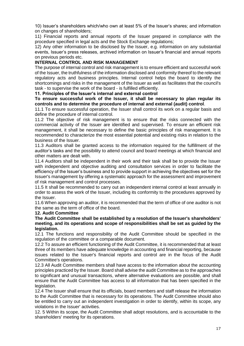10) Issuer's shareholders which/who own at least 5% of the Issuer's shares; and information on changes of shareholders;

11) Financial reports and annual reports of the Issuer prepared in compliance with the procedure specified in legal acts and the Stock Exchange regulations;

12) Any other information to be disclosed by the Issuer, e.g. information on any substantial events, Issuer's press releases, archived information on Issuer's financial and annual reports on previous periods etc.

#### **INTERNAL CONTROL AND RISK MANAGEMENT**

The purpose of internal control and risk management is to ensure efficient and successful work of the Issuer, the truthfulness of the information disclosed and conformity thereof to the relevant regulatory acts and business principles. Internal control helps the board to identify the shortcomings and risks in the management of the Issuer as well as facilitates that the council's task - to supervise the work of the board - is fulfilled efficiently.

**11. Principles of the Issuer's internal and external control**

**To ensure successful work of the Issuer, it shall be necessary to plan regular its controls and to determine the procedure of internal and external (audit) control**.

11.1 To ensure successful operation, the Issuer shall control its work on a regular basis and define the procedure of internal control.

11.2 The objective of risk management is to ensure that the risks connected with the commercial activity of the Issuer are identified and supervised. To ensure an efficient risk management, it shall be necessary to define the basic principles of risk management. It is recommended to characterize the most essential potential and existing risks in relation to the business of the Issuer.

11.3 Auditors shall be granted access to the information required for the fulfillment of the auditor's tasks and the possibility to attend council and board meetings at which financial and other matters are dealt with.

11.4 Auditors shall be independent in their work and their task shall be to provide the Issuer with independent and objective auditing and consultation services in order to facilitate the efficiency of the Issuer's business and to provide support in achieving the objectives set for the Issuer's management by offering a systematic approach for the assessment and improvement of risk management and control processes.

11.5 It shall be recommended to carry out an independent internal control at least annually in order to assess the work of the Issuer, including its conformity to the procedures approved by the Issuer.

11.6 When approving an auditor, it is recommended that the term of office of one auditor is not the same as the term of office of the board.

#### **12. Audit Committee**

**The Audit Committee shall be established by a resolution of the Issuer's shareholders' meeting, and its operations and scope of responsibilities shall be set as guided by the legislation.**

12.1 The functions and responsibility of the Audit Committee should be specified in the regulation of the committee or a comparable document.

12.2 To assure an efficient functioning of the Audit Committee, it is recommended that at least three of its members have adequate knowledge in accounting and financial reporting, because issues related to the Issuer's financial reports and control are in the focus of the Audit Committee's operations.

12.3 All Audit Committee members shall have access to the information about the accounting principles practiced by the Issuer. Board shall advise the audit Committee as to the approaches to significant and unusual transactions, where alternative evaluations are possible, and shall ensure that the Audit Committee has access to all information that has been specified in the legislation.

12.4 The Issuer shall ensure that its officials, board members and staff release the information to the Audit Committee that is necessary for its operations. The Audit Committee should also be entitled to carry out an independent investigation in order to identify, within its scope, any violations in the Issuer' activities.

12. 5 Within its scope, the Audit Committee shall adopt resolutions, and is accountable to the shareholders' meeting for its operations.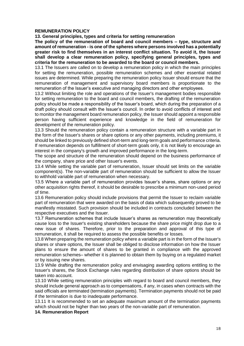#### **REMUNERATION POLICY**

**13. General principles, types and criteria for setting remuneration**

**The policy of the remuneration of board and council members – type, structure and amount of remuneration - is one of the spheres where persons involved has a potentially greater risk to find themselves in an interest conflict situation. To avoid it, the Issuer shall develop a clear remuneration policy, specifying general principles, types and criteria for the remuneration to be awarded to the board or council members.**

13.1 The Issuers are called on to develop a remuneration policy in which the main principles for setting the remuneration, possible remuneration schemes and other essential related issues are determined. While preparing the remuneration policy Issuer should ensure that the remuneration of management and supervisory board members is proportionate to the remuneration of the Issuer's executive and managing directors and other employees.

13.2 Without limiting the role and operations of the Issuer's management bodies responsible for setting remuneration to the board and council members, the drafting of the remuneration policy should be made a responsibility of the Issuer's board, which during the preparation of a draft policy should consult with the Issuer's council. In order to avoid conflicts of interest and to monitor the management board remuneration policy, the Issuer should appoint a responsible person having sufficient experience and knowledge in the field of remuneration for development of the remuneration policy.

13.3 Should the remuneration policy contain a remuneration structure with a variable part in the form of the Issuer's shares or share options or any other payments, including premiums, it should be linked to previously defined short-term and long-term goals and performance criteria. If remuneration depends on fulfillment of short-term goals only, it is not likely to encourage an interest in the company's growth and improved performance in the long-term.

The scope and structure of the remuneration should depend on the business performance of the company, share price and other Issuer's events.

13.4 While setting the variable part of remuneration, Issuer should set limits on the variable component(s). The non-variable part of remuneration should be sufficient to allow the Issuer to withhold variable part of remuneration when necessary.

13.5 Where a variable part of remuneration provides Issuer's shares, share options or any other acquisition rights thereof, it should be desirable to prescribe a minimum non-used period of time.

13.6 Remuneration policy should include provisions that permit the Issuer to reclaim variable part of remuneration that were awarded on the basis of data which subsequently proved to be manifestly misstated. Such provision should be included in contracts concluded between the respective executives and the Issuer.

13.7 Remuneration schemes that include Issuer's shares as remuneration may theoretically cause loss to the Issuer's existing shareholders because the share price might drop due to a new issue of shares. Therefore, prior to the preparation and approval of this type of remuneration, it shall be required to assess the possible benefits or losses.

13.8 When preparing the remuneration policy where a variable part is in the form of the Issuer's shares or share options, the Issuer shall be obliged to disclose information on how the Issuer plans to ensure the amount of shares to be granted in compliance with the approved remuneration schemes– whether it is planned to obtain them by buying on a regulated market or by issuing new shares.

13.9 While drafting the remuneration policy and envisaging awarding options entitling to the Issuer's shares, the Stock Exchange rules regarding distribution of share options should be taken into account.

13.10 While setting remuneration principles with regard to board and council members, they should include general approach as to compensations, if any, in cases when contracts with the said officials are terminated (termination payments). Termination payments should not be paid if the termination is due to inadequate performance.

13.11 It is recommended to set an adequate maximum amount of the termination payments which should not be higher than two years of the non-variable part of remuneration.

**14. Remuneration Report**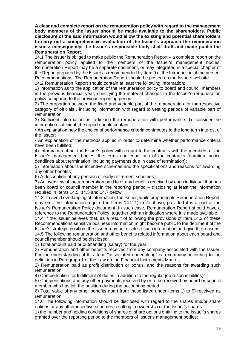**A clear and complete report on the remuneration policy with regard to the management body members of the Issuer should be made available to the shareholders. Public disclosure of the said information would allow the existing and potential shareholders to carry out a comprehensive evaluation of the Issuer's approach the remuneration issues; consequently, the Issuer's responsible body shall draft and made public the Remuneration Report.**

14.1 The Issuer is obliged to make public the Remuneration Report – a complete report on the remuneration policy applied to the members of the Issuer's management bodies. Remuneration Report may be a separate document, or may integrated in a special chapter of the Report prepared by the Issuer as recommended by Item 9 of the Introduction of the present Recommendations. The Remuneration Report should be posted on the Issuers website.

14.2 Remuneration Report should contain at least the following information:

1) Information as to the application of the remuneration policy to board and council members in the previous financial year, specifying the material changes to the Issuer's remuneration policy compared to the previous reporting period;

2) The proportion between the fixed and variable part of the remuneration for the respective category of officials , including information with regard to vesting periods of variable part of remuneration;

3) Sufficient information as to linking the remuneration with performance. To consider the information sufficient, the report should contain:

• An explanation how the choice of performance criteria contributes to the long term interest of the Issuer;

• An explanation of the methods applied in order to determine whether performance criteria have been fulfilled;

4) Information about the Issuer's policy with regard to the contracts with the members of the Issuer's management bodies, the terms and conditions of the contracts (duration, notice deadlines about termination, including payments due in case of termination);

5) Information about the incentive schemes and the specifications and reasons for awarding any other benefits;

6) A description of any pension or early retirement schemes;

7) An overview of the remuneration paid to or any benefits received by each individual that has been board or council member in the reporting period – disclosing at least the information required in Items 14.5, 14.5 and 14.7 below.

14.3 To avoid overlapping of information, the Issuer, while preparing its Remuneration Report, may omit the information required in Items 14.2 1) to 7) above, provided it is a part of the Issuer's Remuneration Policy document. In such case, Remuneration Report should have a reference to the Remuneration Policy, together with an indication where it is made available.

14.4 If the Issuer believes that, as a result of following the provisions of Item 14.2 of these Recommendations sensitive business information might become public to the detriment of the Issuer's strategic position, the Issuer may not disclose such information and give the reasons. 14.5 The following remuneration and other benefits related information about each board and council member should be disclosed:

1) Total amount paid or outstanding (salary) for the year;

2) Remuneration and other benefits received from any company associated with the Issuer. For the understanding of this Item, "associated undertaking" is a company according to the definition in Paragraph 1 of the Law on the Financial Instruments Market;

3) Remuneration paid as profit distribution or bonus, and the reasons for awarding such remuneration;

4) Compensation for fulfillment of duties in addition to the regular job responsibilities;

5) Compensations and any other payments received by or to be received by board or council member who has left the position during the accounting period:

6) Total value of any other benefits apart from those listed under Items 1) to 5) received as remuneration.

14.6 The following information should be disclosed with regard to the shares and/or share options or any other incentive schemes resulting in ownership of the Issuer's shares:

1) the number and holding conditions of shares or share options entitling to the Issuer's shares granted over the reporting period to the members of Issuer's management bodies;